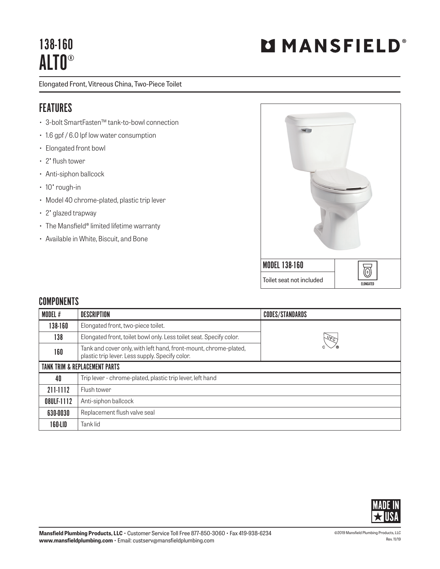# 138-160 ALTO®

Elongated Front, Vitreous China, Two-Piece Toilet

### FEATURES

- 3-bolt SmartFasten™ tank-to-bowl connection
- 1.6 gpf / 6.0 lpf low water consumption
- Elongated front bowl
- 2" flush tower
- Anti-siphon ballcock
- 10" rough-in
- Model 40 chrome-plated, plastic trip lever
- 2" glazed trapway
- The Mansfield® limited lifetime warranty
- Available in White, Biscuit, and Bone



#### **COMPONENTS**

| MODEL #    | <b>DESCRIPTION</b>                                                                                                  | <b>CODES/STANDARDS</b> |
|------------|---------------------------------------------------------------------------------------------------------------------|------------------------|
| 138-160    | Elongated front, two-piece toilet.                                                                                  |                        |
| 138        | Elongated front, toilet bowl only. Less toilet seat. Specify color.                                                 | $\sqrt{\rho_{C}}$      |
| 160        | Tank and cover only, with left hand, front-mount, chrome-plated,<br>plastic trip lever. Less supply. Specify color. |                        |
|            | <b>TANK TRIM &amp; REPLACEMENT PARTS</b>                                                                            |                        |
| 40         | Trip lever - chrome-plated, plastic trip lever, left hand                                                           |                        |
| 211-1112   | Flush tower                                                                                                         |                        |
| 08ULF-1112 | Anti-siphon ballcock                                                                                                |                        |
| 630-0030   | Replacement flush valve seal                                                                                        |                        |
| 160-LID    | Tank lid                                                                                                            |                        |